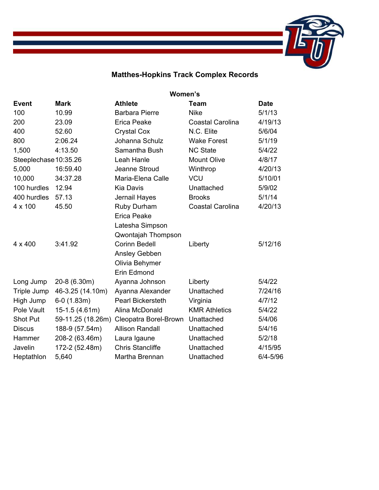

## **Matthes-Hopkins Track Complex Records**

|                       | Women's           |                          |                         |              |  |  |
|-----------------------|-------------------|--------------------------|-------------------------|--------------|--|--|
| <b>Event</b>          | <b>Mark</b>       | <b>Athlete</b>           | <b>Team</b>             | <b>Date</b>  |  |  |
| 100                   | 10.99             | <b>Barbara Pierre</b>    | <b>Nike</b>             | 5/1/13       |  |  |
| 200                   | 23.09             | <b>Erica Peake</b>       | <b>Coastal Carolina</b> | 4/19/13      |  |  |
| 400                   | 52.60             | <b>Crystal Cox</b>       | N.C. Elite              | 5/6/04       |  |  |
| 800                   | 2:06.24           | Johanna Schulz           | <b>Wake Forest</b>      | 5/1/19       |  |  |
| 1,500                 | 4:13.50           | Samantha Bush            | <b>NC State</b>         | 5/4/22       |  |  |
| Steeplechase 10:35.26 |                   | Leah Hanle               | <b>Mount Olive</b>      | 4/8/17       |  |  |
| 5,000                 | 16:59.40          | Jeanne Stroud            | Winthrop                | 4/20/13      |  |  |
| 10,000                | 34:37.28          | Maria-Elena Calle        | <b>VCU</b>              | 5/10/01      |  |  |
| 100 hurdles           | 12.94             | <b>Kia Davis</b>         | Unattached              | 5/9/02       |  |  |
| 400 hurdles           | 57.13             | Jernail Hayes            | <b>Brooks</b>           | 5/1/14       |  |  |
| $4 \times 100$        | 45.50             | Ruby Durham              | <b>Coastal Carolina</b> | 4/20/13      |  |  |
|                       |                   | <b>Erica Peake</b>       |                         |              |  |  |
|                       |                   | Latesha Simpson          |                         |              |  |  |
|                       |                   | Qwontajah Thompson       |                         |              |  |  |
| $4 \times 400$        | 3:41.92           | <b>Corinn Bedell</b>     | Liberty                 | 5/12/16      |  |  |
|                       |                   | Ansley Gebben            |                         |              |  |  |
|                       |                   | Olivia Behymer           |                         |              |  |  |
|                       |                   | Erin Edmond              |                         |              |  |  |
| Long Jump             | 20-8 (6.30m)      | Ayanna Johnson           | Liberty                 | 5/4/22       |  |  |
| Triple Jump           | 46-3.25 (14.10m)  | Ayanna Alexander         | Unattached              | 7/24/16      |  |  |
| High Jump             | $6-0(1.83m)$      | <b>Pearl Bickersteth</b> | Virginia                | 4/7/12       |  |  |
| Pole Vault            | 15-1.5 (4.61m)    | Alina McDonald           | <b>KMR Athletics</b>    | 5/4/22       |  |  |
| Shot Put              | 59-11.25 (18.26m) | Cleopatra Borel-Brown    | Unattached              | 5/4/06       |  |  |
| <b>Discus</b>         | 188-9 (57.54m)    | <b>Allison Randall</b>   | Unattached              | 5/4/16       |  |  |
| Hammer                | 208-2 (63.46m)    | Laura Igaune             | Unattached              | 5/2/18       |  |  |
| Javelin               | 172-2 (52.48m)    | <b>Chris Stancliffe</b>  | Unattached              | 4/15/95      |  |  |
| Heptathlon            | 5,640             | Martha Brennan           | Unattached              | $6/4 - 5/96$ |  |  |